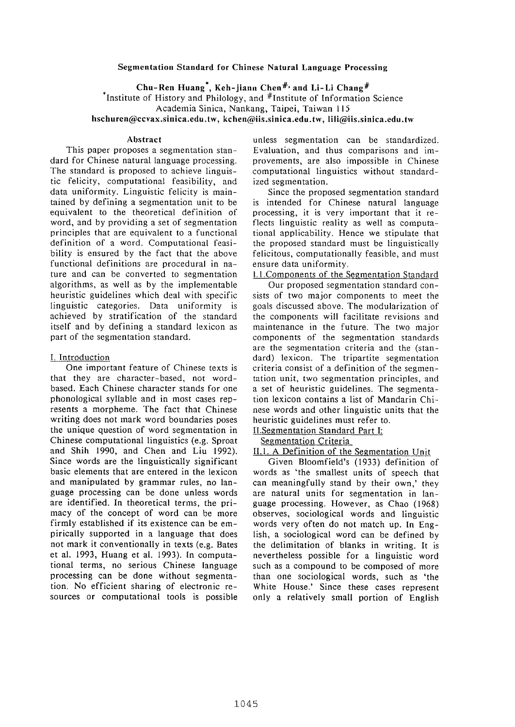### **Segmentation Standard for Chinese Natural Language Processing**

Chu-Ren Huang\*, Keh-jiann Chen #' and Li-Li **Chang #** 

Institute of History and Philology, and  $#$ Institute of Information Science

Academia Sinica, Nankang, Taipei, Taiwan 115

**hschuren@ccvax.sinica.edu.tw, kchen@iis.sinica.edu.tw, lili@iis.sinica.edu.tw** 

#### **Abstract**

This paper proposes a segmentation standard for Chinese natural language processing. The standard is proposed to achieve linguistic felicity, computational feasibility, and data uniformity. Linguistic felicity is maintained by defining a segmentation unit to be equivalent to the theoretical definition of word, and by providing a set of segmentation principles that are equivalent to a functional definition of a word. Computational feasibility is ensured by the fact that the above functional definitions are procedural in nature and can be converted to segmentation algorithms, as well as by the implementable heuristic guidelines which deal with specific linguistic categories. Data uniformity is achieved by stratification of the standard itself and by defining a standard lexicon as part of the segmentation standard.

### I. Introduction

One important feature of Chinese texts is that they are character-based, not wordbased. Each Chinese character stands for one phonological syllable and in most cases represents a morpheme. The fact that Chinese writing does not mark word boundaries poses the unique question of word segmentation in Chinese computational linguistics (e.g. Sproat and Shih 1990, and Chen and Liu 1992). Since words are the linguistically significant basic elements that are entered in the lexicon and manipulated by grammar rules, no language processing can be done unless words are identified. In theoretical terms, the primacy of the concept of word can be more firmly established if its existence can be empirically supported in a language that does not mark it conventionally in texts (e.g. Bates et al. 1993, Huang et al. 1993). In computational terms, no serious Chinese language processing can be done without segmentation. No efficient sharing of electronic resources or computational tools is possible

unless segmentation can be standardized. Evaluation, and thus comparisons and improvements, are also impossible in Chinese computational linguistics without standardized segmentation.

Since the proposed segmentation standard is intended for Chinese natural language processing, it is very important that it reflects linguistic reality as well as computational applicability. Hence we stipulate that the proposed standard must be linguistically felicitous, computationally feasible, and must ensure data uniformity.

1.1.Components of the Sezmentation Standard

Our proposed segmentation standard consists of two major components to meet the goals discussed above. The modularization of the components will facilitate revisions and maintenance in the future. The two major components of the segmentation standards are the segmentation criteria and the (standard) lexicon. The tripartite segmentation criteria consist of a definition of the segmentation unit, two segmentation principles, and a set of heuristic guidelines. The segmentation lexicon contains a list of Mandarin Chinese words and other linguistic units that the heuristic guidelines must refer to.

### II.Segmentation Standard Part I: Segmentation Criteria

II.1. A Definition of the Segmentation Unit

Given Bloomfield's (1933) definition of words as 'the smallest units of speech that can meaningfully stand by their own,' they are natural units for segmentation in language processing. However, as Chao (1968) observes, sociological words and linguistic words very often do not match up. In English, a sociological word can be defined by the delimitation of blanks in writing. It is nevertheless possible for a linguistic word such as a compound to be composed of more than one sociological words, such as 'the White House.' Since these cases represent only a relatively small portion of English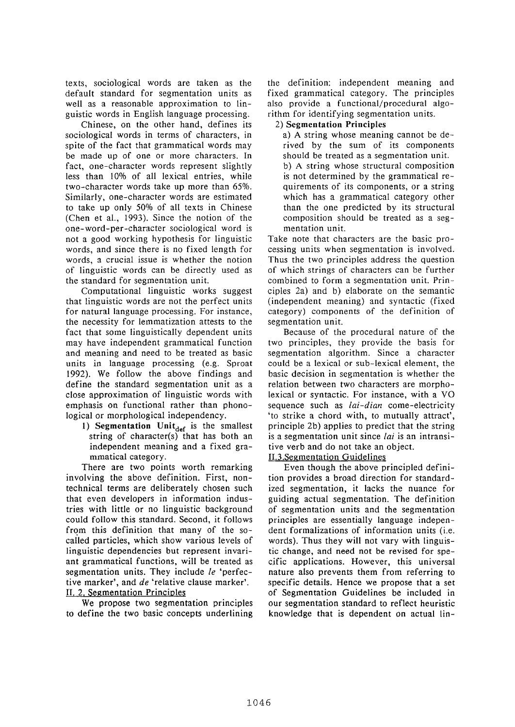texts, sociological words are taken as the default standard for segmentation units as well as a reasonable approximation to linguistic words in English language processing.

Chinese, on the other hand, defines its sociological words in terms of characters, in spite of the fact that grammatical words may be made up of one or more characters. In fact, one-character words represent slightly less than 10% of all lexical entries, while two-character words take up more than 65%. Similarly, one-character words are estimated to take up only 50% of all texts in Chinese (Chen et al., 1993). Since the notion of the one-word-per-character sociological word is not a good working hypothesis for linguistic words, and since there is no fixed length for words, a crucial issue is whether the notion of linguistic words can be directly used as the standard for segmentation unit.

Computational linguistic works suggest that linguistic words are not the perfect units for natural language processing. For instance, the necessity for lemmatization attests to the fact that some linguistically dependent units may have independent grammatical function and meaning and need to be treated as basic units in language processing (e.g. Sproat 1992). We follow the above findings and define the standard segmentation unit as a close approximation of linguistic words with emphasis on functional rather than phonological or morphological independency.

1) Segmentation Unit $_{\text{def}}$  is the smallest string of character(s) that has both an independent meaning and a fixed grammatical category.

There are two points worth remarking involving the above definition. First, nontechnical terms are deliberately chosen such that even developers in information industries with little or no linguistic background could follow this standard. Second, it follows from this definition that many of the socalled particles, which show various levels of linguistic dependencies but represent invariant grammatical functions, will be treated as segmentation units. They include *le* 'perfective marker', and *de* 'relative clause marker'. II. 2. Segmentation Principles

We propose two segmentation principles to define the two basic concepts underlining

the definition: independent meaning and fixed grammatical category. The principles also provide a functional/procedural algorithm for identifying segmentation units.

# **2) Segmentation Principles**

a) A string whose meaning cannot be derived by the sum of its components should be treated as a segmentation unit. b) A string whose structural composition is not determined by the grammatical requirements of its components, or a string which has a grammatical category other than the one predicted by its structural composition should be treated as a segmentation unit.

Take note that characters are the basic processing units when segmentation is involved. Thus the two principles address the question of which strings of characters can be further combined to form a segmentation unit. Principles 2a) and b) elaborate on the semantic (independent meaning) and syntactic (fixed category) components of the definition of segmentation unit.

Because of the procedural nature of the two principles, they provide the basis for segmentation algorithm. Since a character could be a lexical or sub-lexical element, the basic decision in segmentation is whether the relation between two characters are morpholexical or syntactic. For instance, with a VO sequence such as *lai-dian* come-electricity 'to strike a chord with, to mutually attract', principle 2b) applies to predict that the string is a segmentation unit since *lai* is an intransitive verb and do not take an object.

II.3.Segmentation Guidelines

Even though the above principled definition provides a broad direction for standardized segmentation, it lacks the nuance for guiding actual segmentation. The definition of segmentation units and the segmentation principles are essentially language independent formalizations of information units (i.e. words). Thus they will not vary with linguistic change, and need not be revised for specific applications. However, this universal nature also prevents them from referring to specific details. Hence we propose that a set of Segmentation Guidelines be included in our segmentation standard to reflect heuristic knowledge that is dependent on actual lin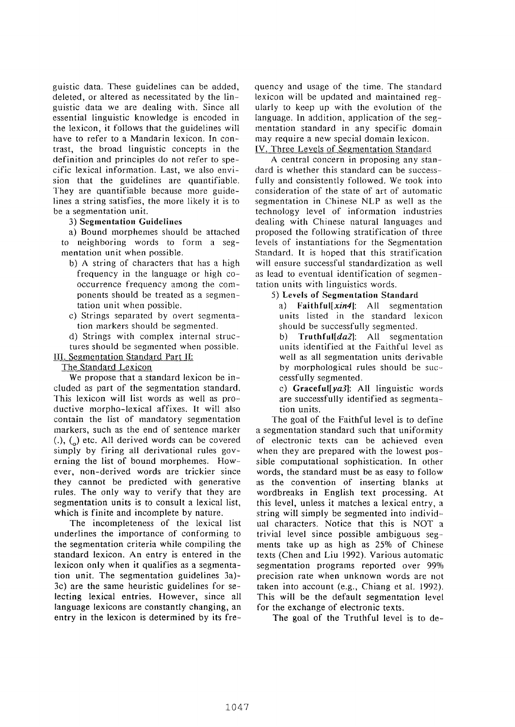guistic data. These guidelines can be added, deleted, or altered as necessitated by the linguistic data we are dealing with. Since all essential linguistic knowledge is encoded in the lexicon, it follows that the guidelines will have to refer to a Mandarin lexicon. In contrast, the broad linguistic concepts in the definition and principles do not refer to specific lexical information. Last, we also envision that the guidelines are quantifiable. They are quantifiable because more guidelines a string satisfies, the more likely it is to be a segmentation unit.

# 3) Segmentation Guidelines

a) Bound morphemes should be attached to neighboring words to form a segmentation unit when possible.

- b) A string of characters that has a high frequency in the language or high cooccurrence frequency among the components should be treated as a segmentation unit when possible.
- c) Strings separated by overt segmentation markers should be segmented.
- d) Strings with complex internal struc-
- tures should be segmented when possible.

IlI. Segmentation Standard Part II:

The Standard Lexicon

We propose that a standard lexicon be included as part of the segmentation standard. This lexicon will list words as well as productive morpho-lexical affixes. It will also contain the list of mandatory segmentation markers, such as the end of sentence marker  $(.)$ ,  $(,)$  etc. All derived words can be covered simply by firing all derivational rules governing the list of bound morphemes. However, non-derived words are trickier since they cannot be predicted with generative rules. The only way to verify that they are segmentation units is to consult a lexical list, which is finite and incomplete by nature.

The incompleteness of the lexical list underlines the importance of conforming to the segmentation criteria while compiling the standard lexicon. An entry is entered in the lexicon only when it qualifies as a segmentation unit. The segmentation guidelines 3a)- 3c) are the same heuristic guidelines for selecting lexical entries. However, since all language lexicons are constantly changing, an entry in the lexicon is determined by its frequency and usage of the time. The standard lexicon will be updated and maintained regularly to keep up with the evolution of the language. In addition, application of the segmentation standard in any specific domain may require a new special domain lexicon. IV. Three Levels of Segmentation Standard

A central concern in proposing any standard is whether this standard can be successfully and consistently followed. We took into consideration of the state of art of automatic segmentation in Chinese NLP as well as the technology level of information industries dealing with Chinese natural languages and proposed the following stratification of three levels of instantiations for the Segmentation Standard. It is hoped that this stratification will ensure successful standardization as well as lead to eventual identification of segmentation units with linguistics words.

# **5) Levels of Segmentation Standard**

a) *Faithful[xin41:* All segmentation units listed in the standard lexicon should be successfully segmented.

b) *Truthful[da2]:* All segmentation units identified at the Faithful level as well as all segmentation units derivable by morphological rules should be successfully segmented.

c) *Graceful[ya31:* All linguistic words are successfully identified as segmentation units.

The goal of the Faithful level is to define a segmentation standard such that uniformity of electronic texts can be achieved even when they are prepared with the lowest possible computational sophistication. In other words, the standard must be as easy to follow as the convention of inserting blanks at wordbreaks in English text processing. At this level, unless it matches a lexical entry, a string will simply be segmented into individual characters. Notice that this is NOT a trivial level since possible ambiguous segments take up as high as 25% of Chinese texts (Chen and Liu 1992). Various automatic segmentation programs reported over 99% precision rate when unknown words are not taken into account (e.g., Chiang et al. 1992). This will be the default segmentation level for the exchange of electronic texts.

The goal of the Truthful level is to de-